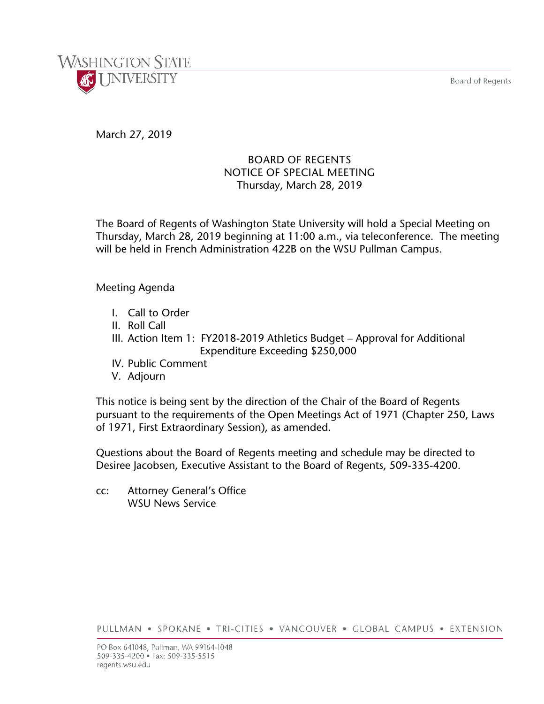Board of Regents



# March 27, 2019

# BOARD OF REGENTS NOTICE OF SPECIAL MEETING Thursday, March 28, 2019

The Board of Regents of Washington State University will hold a Special Meeting on Thursday, March 28, 2019 beginning at 11:00 a.m., via teleconference. The meeting will be held in French Administration 422B on the WSU Pullman Campus.

## Meeting Agenda

- I. Call to Order
- II. Roll Call
- III. Action Item 1: FY2018-2019 Athletics Budget Approval for Additional Expenditure Exceeding \$250,000
- IV. Public Comment
- V. Adjourn

This notice is being sent by the direction of the Chair of the Board of Regents pursuant to the requirements of the Open Meetings Act of 1971 (Chapter 250, Laws of 1971, First Extraordinary Session), as amended.

Questions about the Board of Regents meeting and schedule may be directed to Desiree Jacobsen, Executive Assistant to the Board of Regents, 509-335-4200.

cc: Attorney General's Office WSU News Service

PULLMAN . SPOKANE . TRI-CITIES . VANCOUVER . GLOBAL CAMPUS . EXTENSION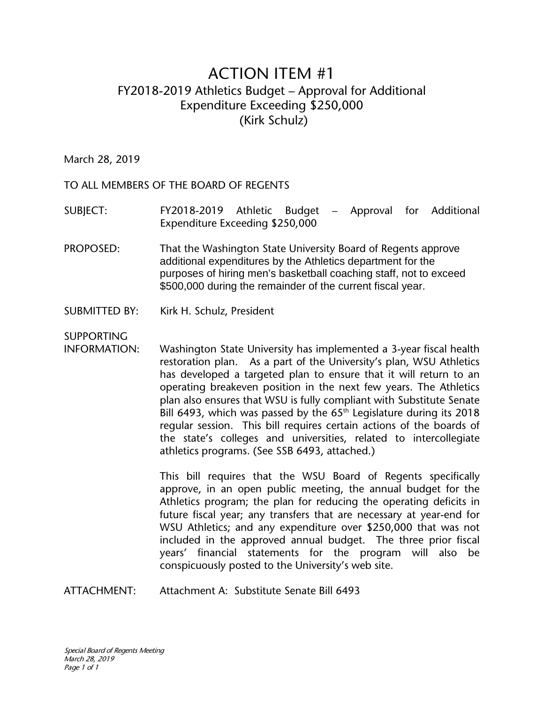# ACTION ITEM #1 FY2018-2019 Athletics Budget – Approval for Additional Expenditure Exceeding \$250,000 (Kirk Schulz)

March 28, 2019

TO ALL MEMBERS OF THE BOARD OF REGENTS

SUBJECT: FY2018-2019 Athletic Budget – Approval for Additional Expenditure Exceeding \$250,000

- PROPOSED: That the Washington State University Board of Regents approve additional expenditures by the Athletics department for the purposes of hiring men's basketball coaching staff, not to exceed \$500,000 during the remainder of the current fiscal year.
- SUBMITTED BY: Kirk H. Schulz, President

SUPPORTING

INFORMATION: Washington State University has implemented a 3-year fiscal health restoration plan. As a part of the University's plan, WSU Athletics has developed a targeted plan to ensure that it will return to an operating breakeven position in the next few years. The Athletics plan also ensures that WSU is fully compliant with Substitute Senate Bill 6493, which was passed by the  $65<sup>th</sup>$  Legislature during its 2018 regular session. This bill requires certain actions of the boards of the state's colleges and universities, related to intercollegiate athletics programs. (See SSB 6493, attached.)

> This bill requires that the WSU Board of Regents specifically approve, in an open public meeting, the annual budget for the Athletics program; the plan for reducing the operating deficits in future fiscal year; any transfers that are necessary at year-end for WSU Athletics; and any expenditure over \$250,000 that was not included in the approved annual budget. The three prior fiscal years' financial statements for the program will also be conspicuously posted to the University's web site.

ATTACHMENT: Attachment A: Substitute Senate Bill 6493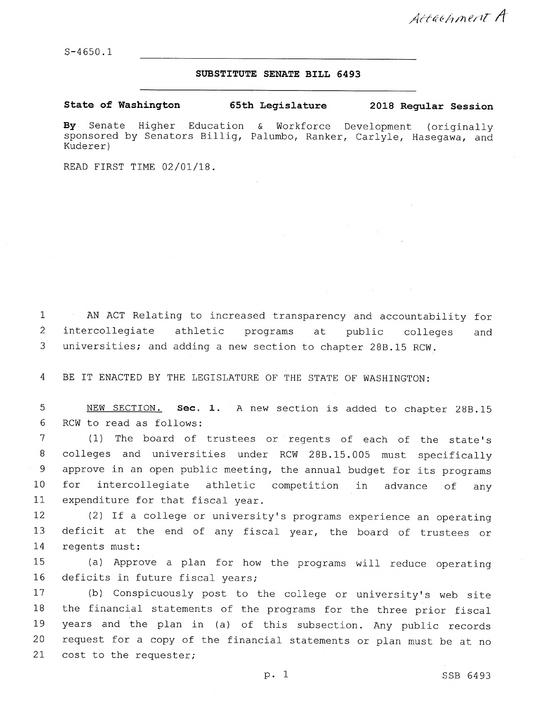$S-4650.1$ 

#### SUBSTITUTE SENATE BILL 6493

State of Washington 65th Legislature 2018 Regular Session

By Senate Higher Education  $\&$ Workforce Development (originally sponsored by Senators Billig, Palumbo, Ranker, Carlyle, Hasegawa, and Kuderer)

READ FIRST TIME 02/01/18.

AN ACT Relating to increased transparency and accountability for  $\mathbf{1}$  $\overline{2}$ intercollegiate athletic public programs at colleges and 3 universities; and adding a new section to chapter 28B.15 RCW.

BE IT ENACTED BY THE LEGISLATURE OF THE STATE OF WASHINGTON:  $\overline{4}$ 

5 NEW SECTION. Sec. 1. A new section is added to chapter 28B.15 6 RCW to read as follows:

 $\overline{7}$ (1) The board of trustees or regents of each of the state's 8 colleges and universities under RCW 28B.15.005 must specifically 9 approve in an open public meeting, the annual budget for its programs  $10$ for intercollegiate athletic competition in advance of any  $11$ expenditure for that fiscal year.

(2) If a college or university's programs experience an operating 12  $13$ deficit at the end of any fiscal year, the board of trustees or 14 regents must:

(a) Approve a plan for how the programs will reduce operating 15 16 deficits in future fiscal vears;

(b) Conspicuously post to the college or university's web site 17 the financial statements of the programs for the three prior fiscal 18 19 years and the plan in (a) of this subsection. Any public records request for a copy of the financial statements or plan must be at no 20 21 cost to the requester;

p. 1